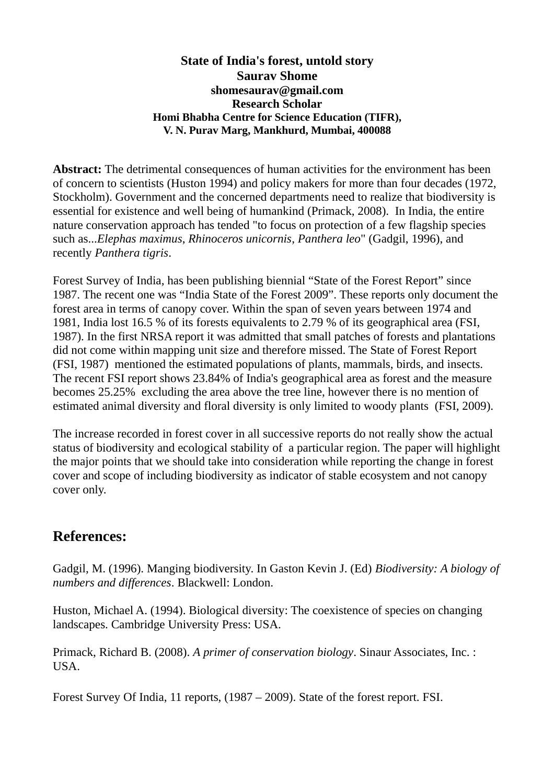## **State of India's forest, untold story Saurav Shome shomesaurav@gmail.com Research Scholar Homi Bhabha Centre for Science Education (TIFR), V. N. Purav Marg, Mankhurd, Mumbai, 400088**

Abstract: The detrimental consequences of human activities for the environment has been of concern to scientists (Huston 1994) and policy makers for more than four decades (1972, Stockholm). Government and the concerned departments need to realize that biodiversity is essential for existence and well being of humankind (Primack, 2008). In India, the entire nature conservation approach has tended "to focus on protection of a few flagship species such as...*Elephas maximus*, *Rhinoceros unicornis*, *Panthera leo*" (Gadgil, 1996), and recently *Panthera tigris*.

Forest Survey of India, has been publishing biennial "State of the Forest Report" since 1987. The recent one was "India State of the Forest 2009". These reports only document the forest area in terms of canopy cover. Within the span of seven years between 1974 and 1981, India lost 16.5 % of its forests equivalents to 2.79 % of its geographical area (FSI, 1987). In the first NRSA report it was admitted that small patches of forests and plantations did not come within mapping unit size and therefore missed. The State of Forest Report (FSI, 1987) mentioned the estimated populations of plants, mammals, birds, and insects. The recent FSI report shows 23.84% of India's geographical area as forest and the measure becomes 25.25% excluding the area above the tree line, however there is no mention of estimated animal diversity and floral diversity is only limited to woody plants (FSI, 2009).

The increase recorded in forest cover in all successive reports do not really show the actual status of biodiversity and ecological stability of a particular region. The paper will highlight the major points that we should take into consideration while reporting the change in forest cover and scope of including biodiversity as indicator of stable ecosystem and not canopy cover only.

## **References:**

Gadgil, M. (1996). Manging biodiversity. In Gaston Kevin J. (Ed) *Biodiversity: A biology of numbers and differences*. Blackwell: London.

Huston, Michael A. (1994). Biological diversity: The coexistence of species on changing landscapes. Cambridge University Press: USA.

Primack, Richard B. (2008). *A primer of conservation biology*. Sinaur Associates, Inc. : USA.

Forest Survey Of India, 11 reports, (1987 – 2009). State of the forest report. FSI.